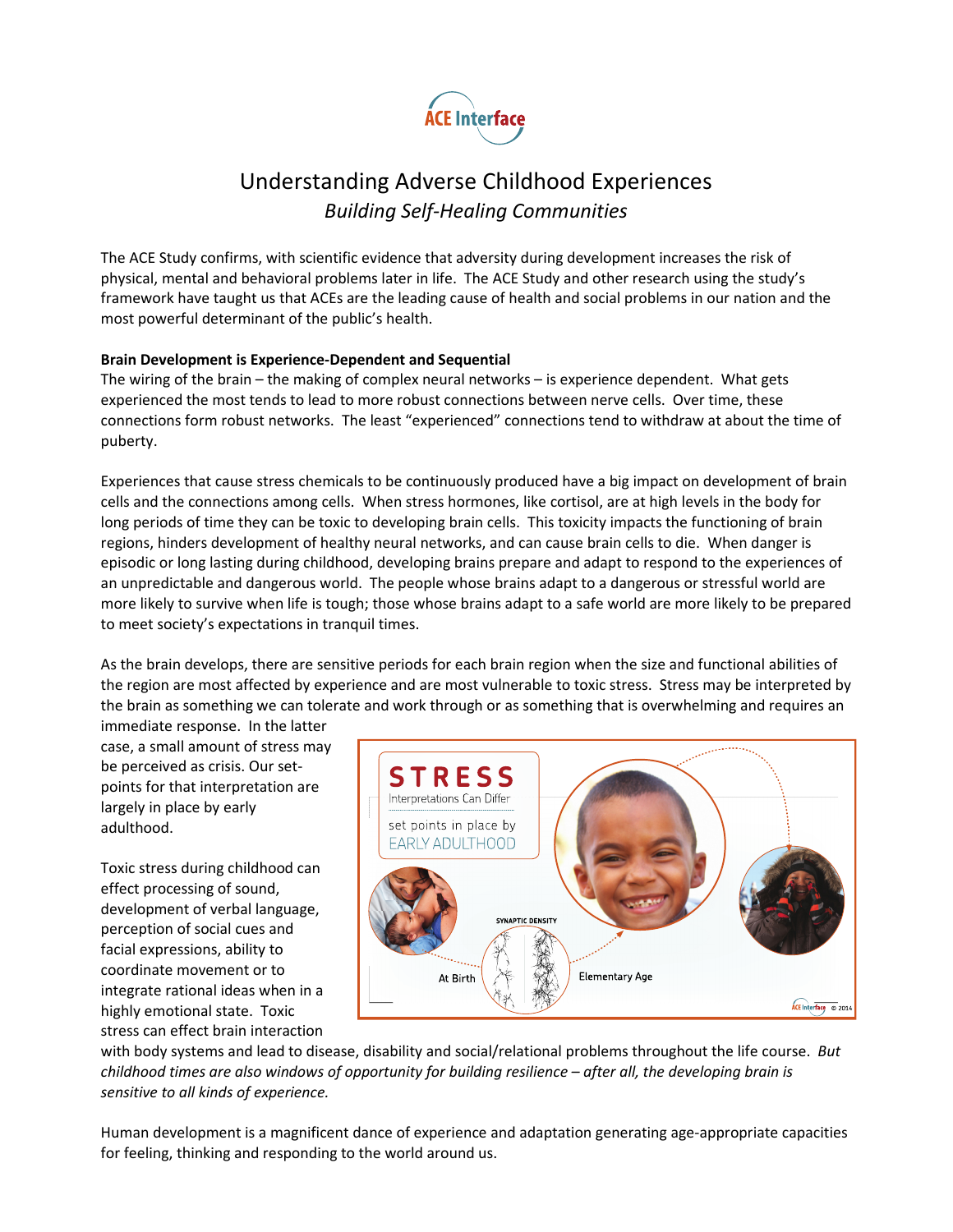

## Understanding Adverse Childhood Experiences Building Self-Healing Communities

The ACE Study confirms, with scientific evidence that adversity during development increases the risk of physical, mental and behavioral problems later in life. The ACE Study and other research using the study's framework have taught us that ACEs are the leading cause of health and social problems in our nation and the most powerful determinant of the public's health.

#### Brain Development is Experience-Dependent and Sequential

The wiring of the brain – the making of complex neural networks – is experience dependent. What gets experienced the most tends to lead to more robust connections between nerve cells. Over time, these connections form robust networks. The least "experienced" connections tend to withdraw at about the time of puberty.

Experiences that cause stress chemicals to be continuously produced have a big impact on development of brain cells and the connections among cells. When stress hormones, like cortisol, are at high levels in the body for long periods of time they can be toxic to developing brain cells. This toxicity impacts the functioning of brain regions, hinders development of healthy neural networks, and can cause brain cells to die. When danger is episodic or long lasting during childhood, developing brains prepare and adapt to respond to the experiences of an unpredictable and dangerous world. The people whose brains adapt to a dangerous or stressful world are more likely to survive when life is tough; those whose brains adapt to a safe world are more likely to be prepared to meet society's expectations in tranquil times.

As the brain develops, there are sensitive periods for each brain region when the size and functional abilities of the region are most affected by experience and are most vulnerable to toxic stress. Stress may be interpreted by the brain as something we can tolerate and work through or as something that is overwhelming and requires an

immediate response. In the latter case, a small amount of stress may be perceived as crisis. Our setpoints for that interpretation are largely in place by early adulthood.

Toxic stress during childhood can effect processing of sound, development of verbal language, perception of social cues and facial expressions, ability to coordinate movement or to integrate rational ideas when in a highly emotional state. Toxic stress can effect brain interaction



with body systems and lead to disease, disability and social/relational problems throughout the life course. But childhood times are also windows of opportunity for building resilience – after all, the developing brain is sensitive to all kinds of experience.

Human development is a magnificent dance of experience and adaptation generating age-appropriate capacities for feeling, thinking and responding to the world around us.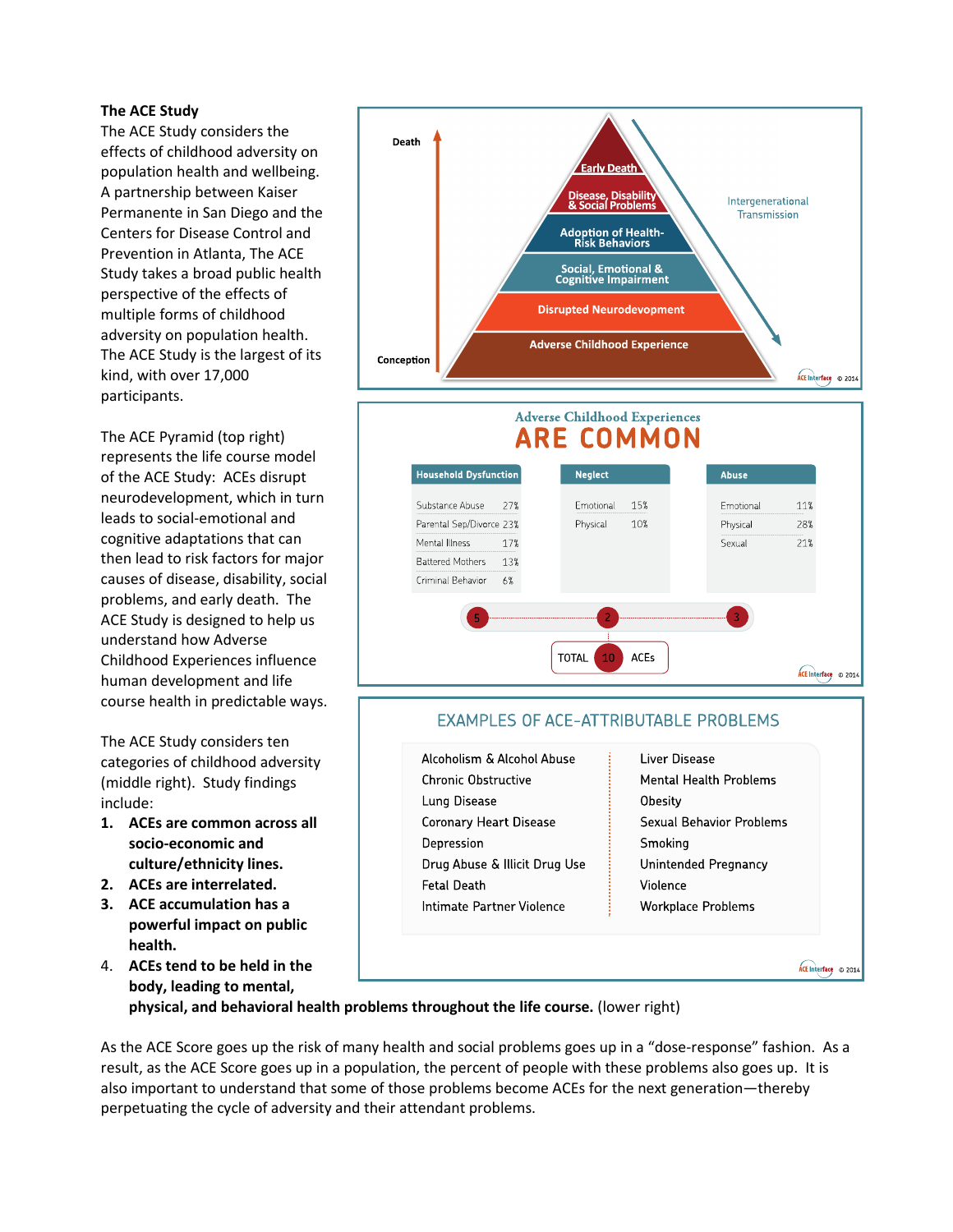#### The ACE Study

The ACE Study considers the effects of childhood adversity on population health and wellbeing. A partnership between Kaiser Permanente in San Diego and the Centers for Disease Control and Prevention in Atlanta, The ACE Study takes a broad public health perspective of the effects of multiple forms of childhood adversity on population health. The ACE Study is the largest of its kind, with over 17,000 participants.

The ACE Pyramid (top right) represents the life course model of the ACE Study: ACEs disrupt neurodevelopment, which in turn leads to social-emotional and cognitive adaptations that can then lead to risk factors for major causes of disease, disability, social problems, and early death. The ACE Study is designed to help us understand how Adverse Childhood Experiences influence human development and life course health in predictable ways.

The ACE Study considers ten categories of childhood adversity (middle right). Study findings include:

- 1. ACEs are common across all socio-economic and culture/ethnicity lines.
- 2. ACEs are interrelated.
- 3. ACE accumulation has a powerful impact on public health.
- 4. ACEs tend to be held in the body, leading to mental,



#### **EXAMPLES OF ACE-ATTRIBUTABLE PROBLEMS**

- Alcoholism & Alcohol Abuse Chronic Obstructive Lung Disease **Coronary Heart Disease** Depression Drug Abuse & Illicit Drug Use **Fetal Death** Intimate Partner Violence
- Liver Disease Mental Health Problems Obesity **Sexual Behavior Problems** Smoking Unintended Pregnancy Violence Workplace Problems

ACE Interface © 2014

physical, and behavioral health problems throughout the life course. (lower right)

As the ACE Score goes up the risk of many health and social problems goes up in a "dose-response" fashion. As a result, as the ACE Score goes up in a population, the percent of people with these problems also goes up. It is also important to understand that some of those problems become ACEs for the next generation—thereby perpetuating the cycle of adversity and their attendant problems.